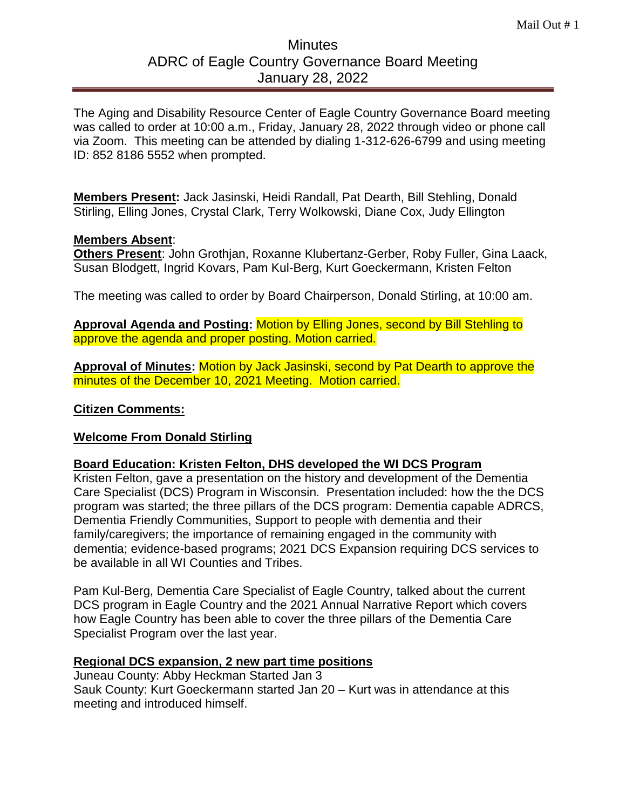# **Minutes** ADRC of Eagle Country Governance Board Meeting January 28, 2022

The Aging and Disability Resource Center of Eagle Country Governance Board meeting was called to order at 10:00 a.m., Friday, January 28, 2022 through video or phone call via Zoom. This meeting can be attended by dialing 1-312-626-6799 and using meeting ID: 852 8186 5552 when prompted.

**Members Present:** Jack Jasinski, Heidi Randall, Pat Dearth, Bill Stehling, Donald Stirling, Elling Jones, Crystal Clark, Terry Wolkowski, Diane Cox, Judy Ellington

### **Members Absent**:

**Others Present**: John Grothjan, Roxanne Klubertanz-Gerber, Roby Fuller, Gina Laack, Susan Blodgett, Ingrid Kovars, Pam Kul-Berg, Kurt Goeckermann, Kristen Felton

The meeting was called to order by Board Chairperson, Donald Stirling, at 10:00 am.

**Approval Agenda and Posting:** Motion by Elling Jones, second by Bill Stehling to approve the agenda and proper posting. Motion carried.

**Approval of Minutes:** Motion by Jack Jasinski, second by Pat Dearth to approve the minutes of the December 10, 2021 Meeting. Motion carried.

# **Citizen Comments:**

# **Welcome From Donald Stirling**

#### **Board Education: Kristen Felton, DHS developed the WI DCS Program**

Kristen Felton, gave a presentation on the history and development of the Dementia Care Specialist (DCS) Program in Wisconsin. Presentation included: how the the DCS program was started; the three pillars of the DCS program: Dementia capable ADRCS, Dementia Friendly Communities, Support to people with dementia and their family/caregivers; the importance of remaining engaged in the community with dementia; evidence-based programs; 2021 DCS Expansion requiring DCS services to be available in all WI Counties and Tribes.

Pam Kul-Berg, Dementia Care Specialist of Eagle Country, talked about the current DCS program in Eagle Country and the 2021 Annual Narrative Report which covers how Eagle Country has been able to cover the three pillars of the Dementia Care Specialist Program over the last year.

#### **Regional DCS expansion, 2 new part time positions**

Juneau County: Abby Heckman Started Jan 3 Sauk County: Kurt Goeckermann started Jan 20 – Kurt was in attendance at this meeting and introduced himself.